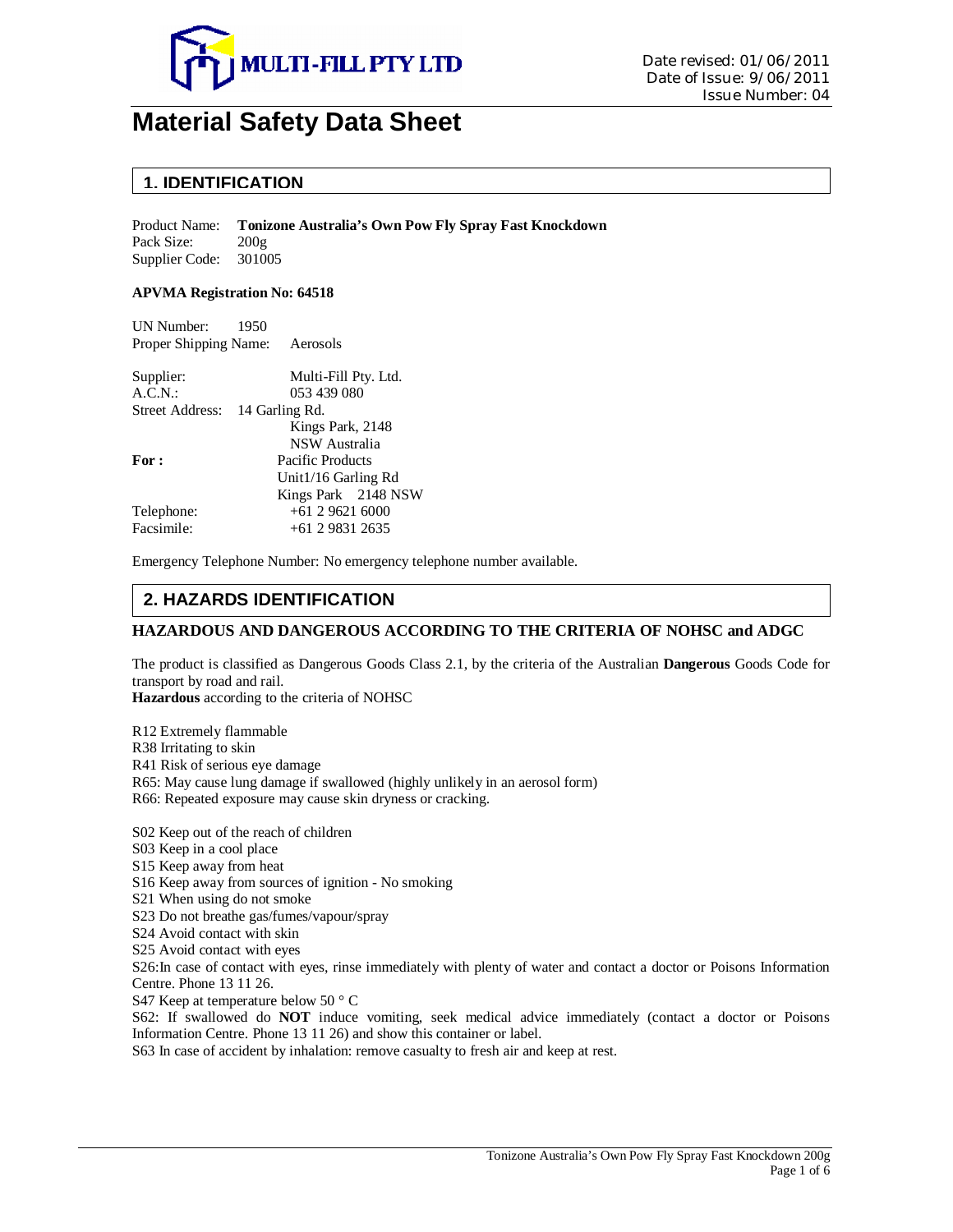

# **Material Safety Data Sheet**

### **1. IDENTIFICATION**

Product Name: **Tonizone Australia's Own Pow Fly Spray Fast Knockdown** Pack Size:  $200g$ Supplier Code: 301005

#### **APVMA Registration No: 64518**

UN Number: 1950 Proper Shipping Name: Aerosols

| Supplier:                      | Multi-Fill Pty. Ltd. |
|--------------------------------|----------------------|
| A.C.N.                         | 053 439 080          |
| Street Address: 14 Garling Rd. |                      |
|                                | Kings Park, 2148     |
|                                | <b>NSW</b> Australia |
| For:                           | Pacific Products     |
|                                | Unit1/16 Garling Rd  |
|                                | Kings Park 2148 NSW  |
| Telephone:                     | $+61296216000$       |
| Facsimile:                     | $+61$ 2 9831 2635    |
|                                |                      |

Emergency Telephone Number: No emergency telephone number available.

### **2. HAZARDS IDENTIFICATION**

#### **HAZARDOUS AND DANGEROUS ACCORDING TO THE CRITERIA OF NOHSC and ADGC**

The product is classified as Dangerous Goods Class 2.1, by the criteria of the Australian **Dangerous** Goods Code for transport by road and rail.

**Hazardous** according to the criteria of NOHSC

R12 Extremely flammable R38 Irritating to skin R41 Risk of serious eye damage R65: May cause lung damage if swallowed (highly unlikely in an aerosol form) R66: Repeated exposure may cause skin dryness or cracking.

S02 Keep out of the reach of children S03 Keep in a cool place

S15 Keep away from heat

S16 Keep away from sources of ignition - No smoking

S21 When using do not smoke

S23 Do not breathe gas/fumes/vapour/spray

S24 Avoid contact with skin

S25 Avoid contact with eyes

S26:In case of contact with eyes, rinse immediately with plenty of water and contact a doctor or Poisons Information Centre. Phone 13 11 26.

S47 Keep at temperature below 50 ° C

S62: If swallowed do **NOT** induce vomiting, seek medical advice immediately (contact a doctor or Poisons Information Centre. Phone 13 11 26) and show this container or label.

S63 In case of accident by inhalation: remove casualty to fresh air and keep at rest.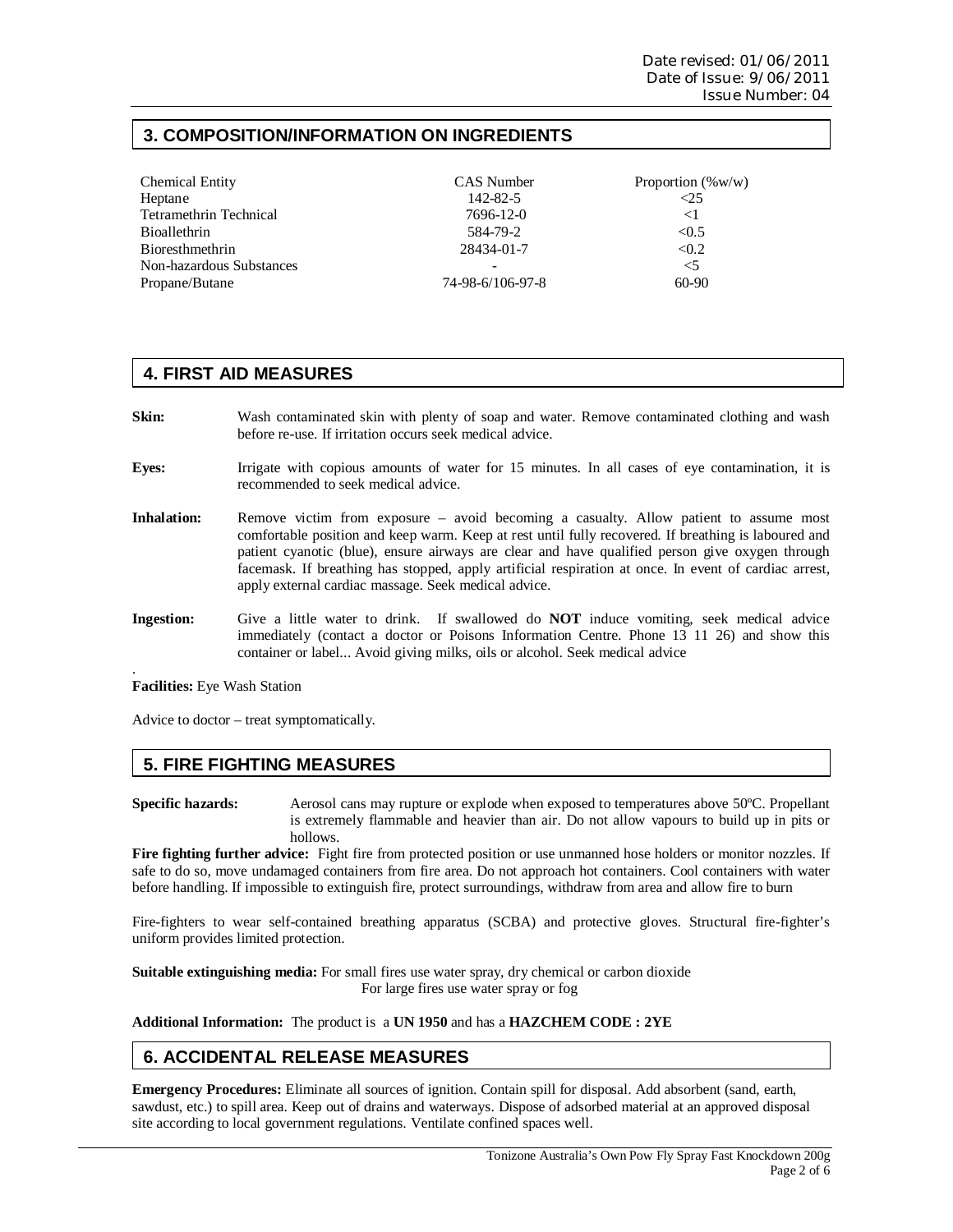# **3. COMPOSITION/INFORMATION ON INGREDIENTS**

| <b>Chemical Entity</b>        | CAS Number       | Proportion $(\%w/w)$ |
|-------------------------------|------------------|----------------------|
| Heptane                       | 142-82-5         | $\leq$ 25            |
| <b>Tetramethrin Technical</b> | 7696-12-0        | $<$ 1                |
| <b>Bioallethrin</b>           | 584-79-2         | < 0.5                |
| Bioresthmethrin               | 28434-01-7       | < 0.2                |
| Non-hazardous Substances      |                  | $<$ 5                |
| Propane/Butane                | 74-98-6/106-97-8 | 60-90                |

## **4. FIRST AID MEASURES**

- **Skin:** Wash contaminated skin with plenty of soap and water. Remove contaminated clothing and wash before re-use. If irritation occurs seek medical advice.
- **Eyes:** Irrigate with copious amounts of water for 15 minutes. In all cases of eye contamination, it is recommended to seek medical advice.
- **Inhalation:** Remove victim from exposure avoid becoming a casualty. Allow patient to assume most comfortable position and keep warm. Keep at rest until fully recovered. If breathing is laboured and patient cyanotic (blue), ensure airways are clear and have qualified person give oxygen through facemask. If breathing has stopped, apply artificial respiration at once. In event of cardiac arrest, apply external cardiac massage. Seek medical advice.
- **Ingestion:** Give a little water to drink. If swallowed do **NOT** induce vomiting, seek medical advice immediately (contact a doctor or Poisons Information Centre. Phone 13 11 26) and show this container or label... Avoid giving milks, oils or alcohol. Seek medical advice

**Facilities:** Eye Wash Station

.

Advice to doctor – treat symptomatically.

### **5. FIRE FIGHTING MEASURES**

**Specific hazards:** Aerosol cans may rupture or explode when exposed to temperatures above 50ºC. Propellant is extremely flammable and heavier than air. Do not allow vapours to build up in pits or hollows.

**Fire fighting further advice:** Fight fire from protected position or use unmanned hose holders or monitor nozzles. If safe to do so, move undamaged containers from fire area. Do not approach hot containers. Cool containers with water before handling. If impossible to extinguish fire, protect surroundings, withdraw from area and allow fire to burn

Fire-fighters to wear self-contained breathing apparatus (SCBA) and protective gloves. Structural fire-fighter's uniform provides limited protection.

**Suitable extinguishing media:** For small fires use water spray, dry chemical or carbon dioxide For large fires use water spray or fog

**Additional Information:** The product is a **UN 1950** and has a **HAZCHEM CODE : 2YE**

# **6. ACCIDENTAL RELEASE MEASURES**

**Emergency Procedures:** Eliminate all sources of ignition. Contain spill for disposal. Add absorbent (sand, earth, sawdust, etc.) to spill area. Keep out of drains and waterways. Dispose of adsorbed material at an approved disposal site according to local government regulations. Ventilate confined spaces well.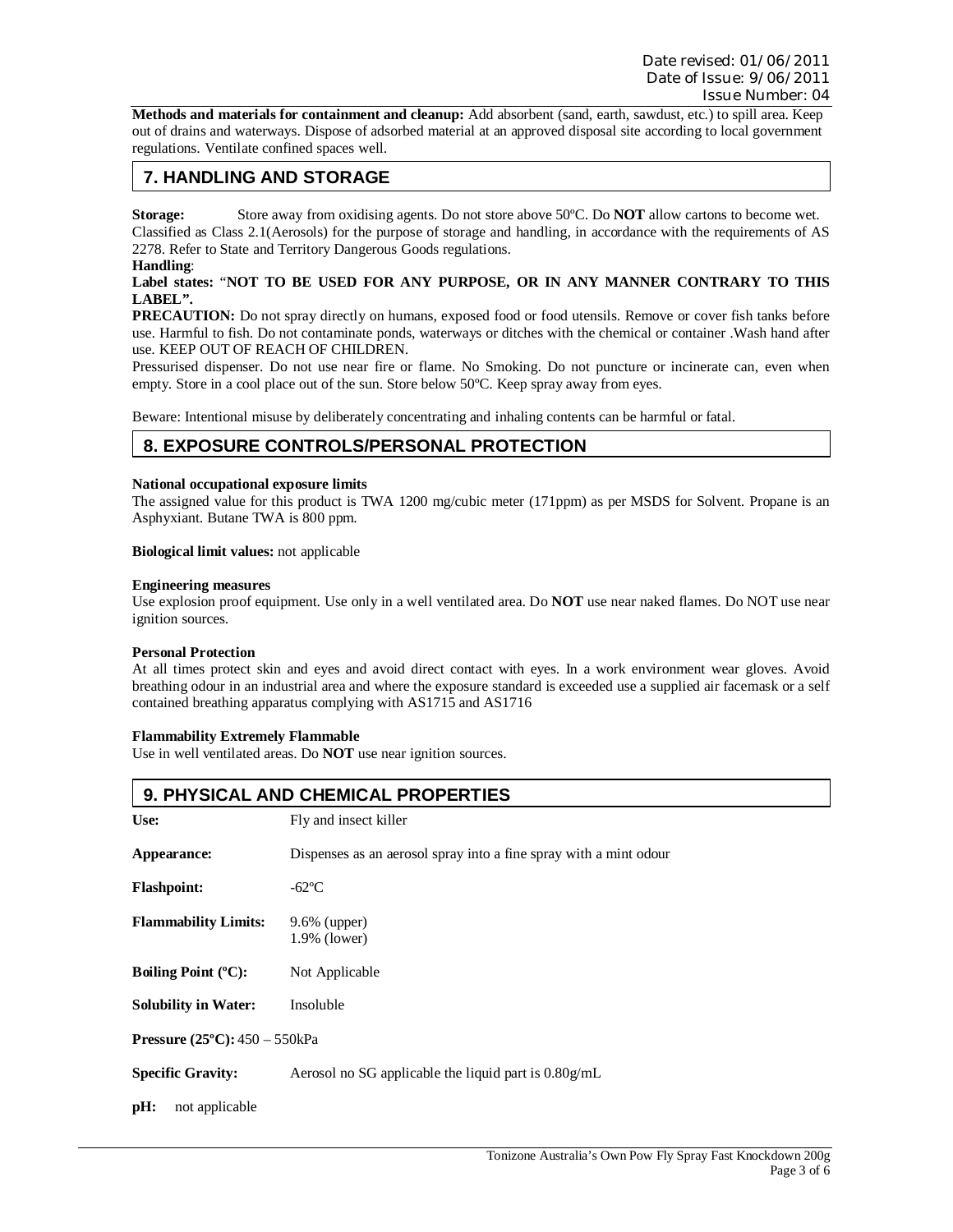**Methods and materials for containment and cleanup:** Add absorbent (sand, earth, sawdust, etc.) to spill area. Keep out of drains and waterways. Dispose of adsorbed material at an approved disposal site according to local government regulations. Ventilate confined spaces well.

# **7. HANDLING AND STORAGE**

**Storage:** Store away from oxidising agents. Do not store above 50ºC. Do **NOT** allow cartons to become wet. Classified as Class 2.1(Aerosols) for the purpose of storage and handling, in accordance with the requirements of AS 2278. Refer to State and Territory Dangerous Goods regulations.

#### **Handling**:

#### **Label states:** "**NOT TO BE USED FOR ANY PURPOSE, OR IN ANY MANNER CONTRARY TO THIS LABEL".**

**PRECAUTION:** Do not spray directly on humans, exposed food or food utensils. Remove or cover fish tanks before use. Harmful to fish. Do not contaminate ponds, waterways or ditches with the chemical or container .Wash hand after use. KEEP OUT OF REACH OF CHILDREN.

Pressurised dispenser. Do not use near fire or flame. No Smoking. Do not puncture or incinerate can, even when empty. Store in a cool place out of the sun. Store below 50ºC. Keep spray away from eyes.

Beware: Intentional misuse by deliberately concentrating and inhaling contents can be harmful or fatal.

### **8. EXPOSURE CONTROLS/PERSONAL PROTECTION**

#### **National occupational exposure limits**

The assigned value for this product is TWA 1200 mg/cubic meter (171ppm) as per MSDS for Solvent. Propane is an Asphyxiant. Butane TWA is 800 ppm.

#### **Biological limit values:** not applicable

#### **Engineering measures**

Use explosion proof equipment. Use only in a well ventilated area. Do **NOT** use near naked flames. Do NOT use near ignition sources.

#### **Personal Protection**

At all times protect skin and eyes and avoid direct contact with eyes. In a work environment wear gloves. Avoid breathing odour in an industrial area and where the exposure standard is exceeded use a supplied air facemask or a self contained breathing apparatus complying with AS1715 and AS1716

#### **Flammability Extremely Flammable**

Use in well ventilated areas. Do **NOT** use near ignition sources.

| 9. PHYSICAL AND CHEMICAL PROPERTIES    |                                                                   |  |
|----------------------------------------|-------------------------------------------------------------------|--|
| Use:                                   | Fly and insect killer                                             |  |
| Appearance:                            | Dispenses as an aerosol spray into a fine spray with a mint odour |  |
| <b>Flashpoint:</b>                     | -62°C                                                             |  |
| <b>Flammability Limits:</b>            | $9.6\%$ (upper)<br>1.9% (lower)                                   |  |
| Boiling Point $(^{\circ}C)$ :          | Not Applicable                                                    |  |
| <b>Solubility in Water:</b>            | Insoluble                                                         |  |
| <b>Pressure (25°C):</b> $450 - 550kPa$ |                                                                   |  |
| <b>Specific Gravity:</b>               | Aerosol no SG applicable the liquid part is $0.80g/mL$            |  |
| pH:<br>not applicable                  |                                                                   |  |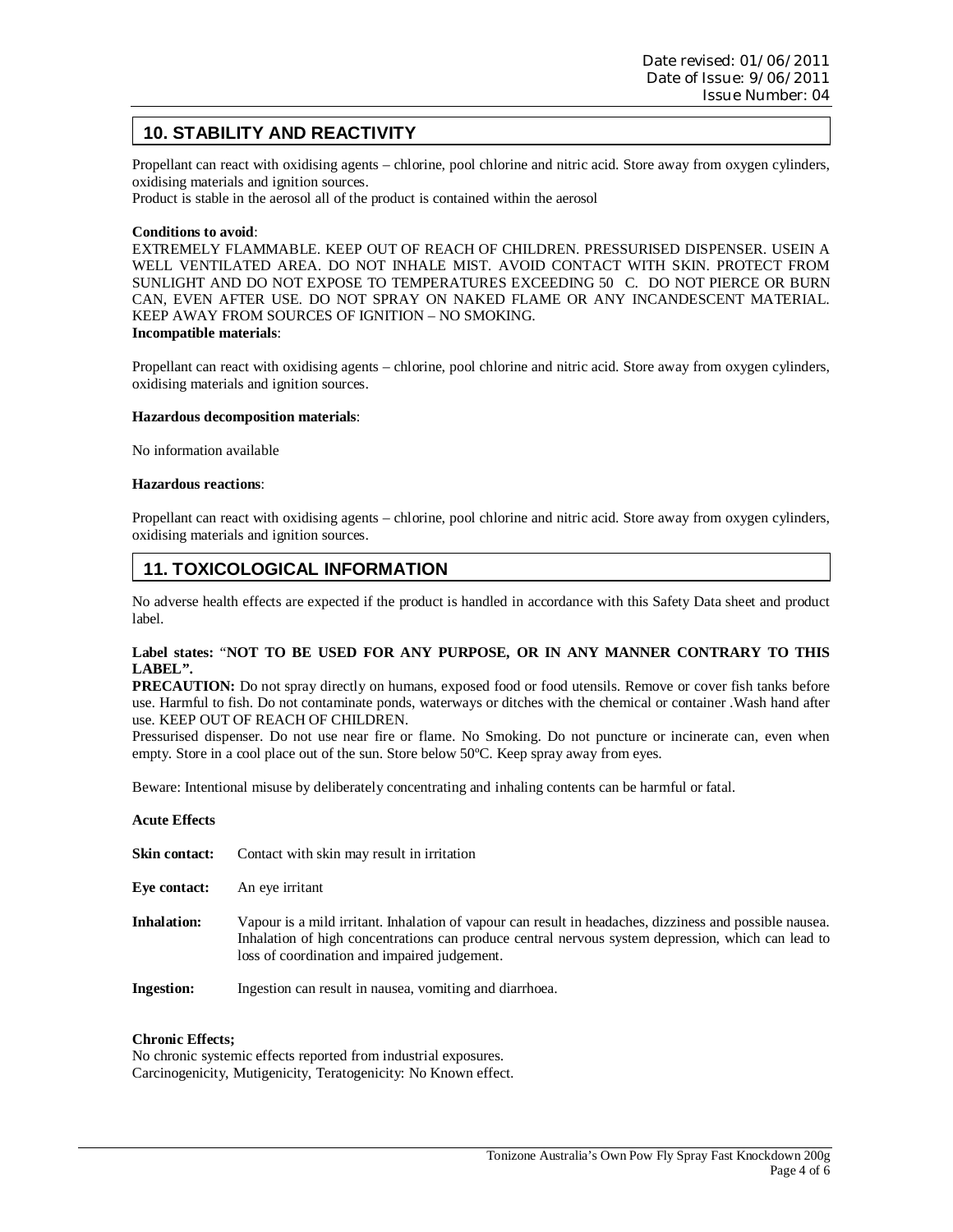# **10. STABILITY AND REACTIVITY**

Propellant can react with oxidising agents – chlorine, pool chlorine and nitric acid. Store away from oxygen cylinders, oxidising materials and ignition sources.

Product is stable in the aerosol all of the product is contained within the aerosol

#### **Conditions to avoid**:

EXTREMELY FLAMMABLE. KEEP OUT OF REACH OF CHILDREN. PRESSURISED DISPENSER. USEIN A WELL VENTILATED AREA. DO NOT INHALE MIST. AVOID CONTACT WITH SKIN. PROTECT FROM SUNLIGHT AND DO NOT EXPOSE TO TEMPERATURES EXCEEDING 50 C. DO NOT PIERCE OR BURN CAN, EVEN AFTER USE. DO NOT SPRAY ON NAKED FLAME OR ANY INCANDESCENT MATERIAL. KEEP AWAY FROM SOURCES OF IGNITION – NO SMOKING. **Incompatible materials**:

Propellant can react with oxidising agents – chlorine, pool chlorine and nitric acid. Store away from oxygen cylinders, oxidising materials and ignition sources.

#### **Hazardous decomposition materials**:

No information available

#### **Hazardous reactions**:

Propellant can react with oxidising agents – chlorine, pool chlorine and nitric acid. Store away from oxygen cylinders, oxidising materials and ignition sources.

# **11. TOXICOLOGICAL INFORMATION**

No adverse health effects are expected if the product is handled in accordance with this Safety Data sheet and product label.

#### **Label states:** "**NOT TO BE USED FOR ANY PURPOSE, OR IN ANY MANNER CONTRARY TO THIS LABEL".**

**PRECAUTION:** Do not spray directly on humans, exposed food or food utensils. Remove or cover fish tanks before use. Harmful to fish. Do not contaminate ponds, waterways or ditches with the chemical or container .Wash hand after use. KEEP OUT OF REACH OF CHILDREN.

Pressurised dispenser. Do not use near fire or flame. No Smoking. Do not puncture or incinerate can, even when empty. Store in a cool place out of the sun. Store below 50ºC. Keep spray away from eyes.

Beware: Intentional misuse by deliberately concentrating and inhaling contents can be harmful or fatal.

| <b>Acute Effects</b> |                                                                                                                                                                                                                                                               |
|----------------------|---------------------------------------------------------------------------------------------------------------------------------------------------------------------------------------------------------------------------------------------------------------|
| Skin contact:        | Contact with skin may result in irritation                                                                                                                                                                                                                    |
| Eve contact:         | An eye irritant                                                                                                                                                                                                                                               |
| <b>Inhalation:</b>   | Vapour is a mild irritant. Inhalation of vapour can result in headaches, dizziness and possible nausea.<br>Inhalation of high concentrations can produce central nervous system depression, which can lead to<br>loss of coordination and impaired judgement. |
| <b>Ingestion:</b>    | Ingestion can result in nausea, vomiting and diarrhoea.                                                                                                                                                                                                       |

#### **Chronic Effects;**

No chronic systemic effects reported from industrial exposures. Carcinogenicity, Mutigenicity, Teratogenicity: No Known effect.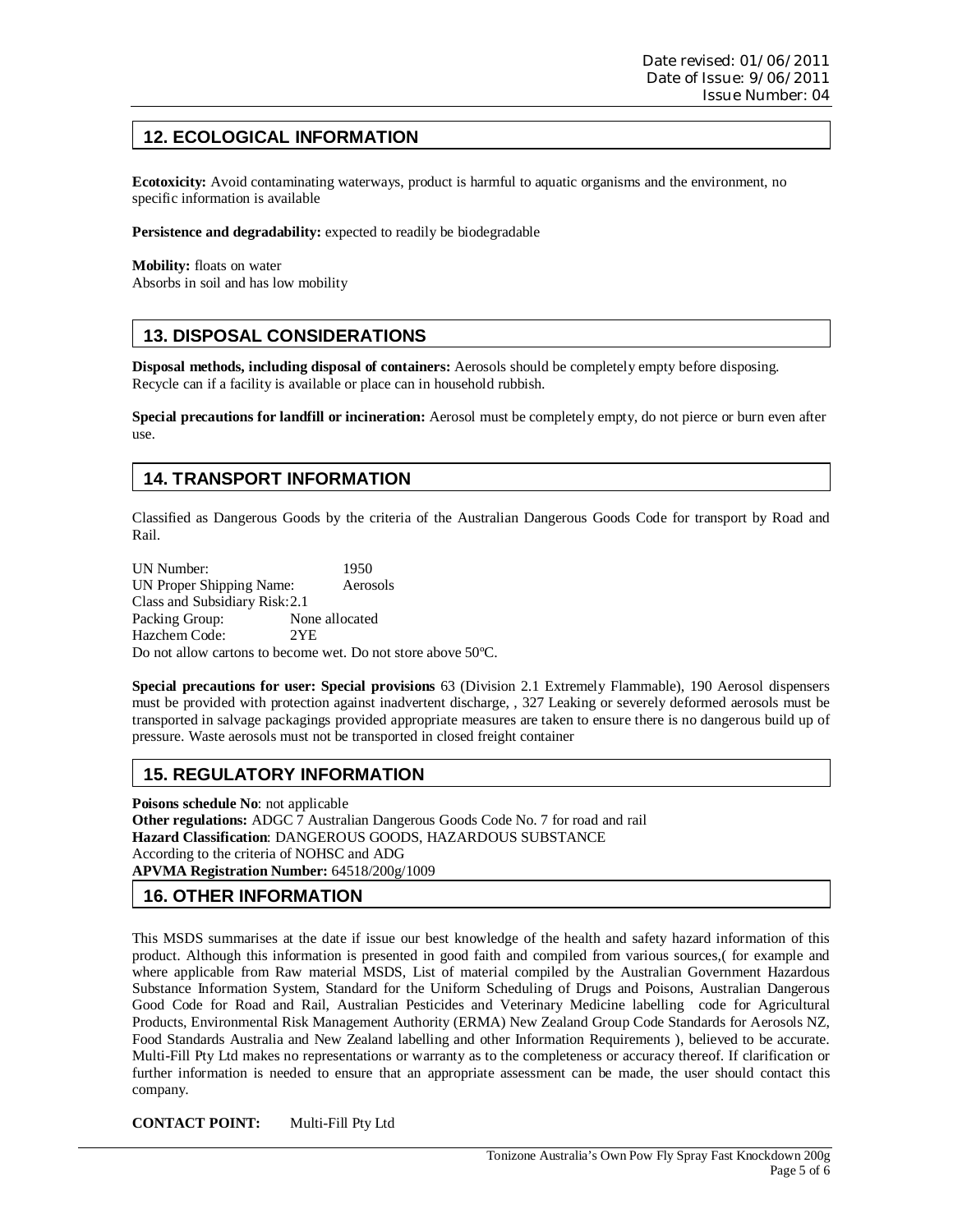# **12. ECOLOGICAL INFORMATION**

**Ecotoxicity:** Avoid contaminating waterways, product is harmful to aquatic organisms and the environment, no specific information is available

**Persistence and degradability:** expected to readily be biodegradable

**Mobility:** floats on water Absorbs in soil and has low mobility

# **13. DISPOSAL CONSIDERATIONS**

**Disposal methods, including disposal of containers:** Aerosols should be completely empty before disposing. Recycle can if a facility is available or place can in household rubbish.

**Special precautions for landfill or incineration:** Aerosol must be completely empty, do not pierce or burn even after use.

# **14. TRANSPORT INFORMATION**

Classified as Dangerous Goods by the criteria of the Australian Dangerous Goods Code for transport by Road and Rail.

UN Number: 1950 UN Proper Shipping Name: Aerosols Class and Subsidiary Risk: 2.1 Packing Group: None allocated Hazchem Code: 2YE Do not allow cartons to become wet. Do not store above 50ºC.

**Special precautions for user: Special provisions** 63 (Division 2.1 Extremely Flammable), 190 Aerosol dispensers must be provided with protection against inadvertent discharge, , 327 Leaking or severely deformed aerosols must be transported in salvage packagings provided appropriate measures are taken to ensure there is no dangerous build up of pressure. Waste aerosols must not be transported in closed freight container

# **15. REGULATORY INFORMATION**

**Poisons schedule No**: not applicable **Other regulations:** ADGC 7 Australian Dangerous Goods Code No. 7 for road and rail **Hazard Classification**: DANGEROUS GOODS, HAZARDOUS SUBSTANCE According to the criteria of NOHSC and ADG **APVMA Registration Number:** 64518/200g/1009

# **16. OTHER INFORMATION**

This MSDS summarises at the date if issue our best knowledge of the health and safety hazard information of this product. Although this information is presented in good faith and compiled from various sources,( for example and where applicable from Raw material MSDS, List of material compiled by the Australian Government Hazardous Substance Information System, Standard for the Uniform Scheduling of Drugs and Poisons, Australian Dangerous Good Code for Road and Rail, Australian Pesticides and Veterinary Medicine labelling code for Agricultural Products, Environmental Risk Management Authority (ERMA) New Zealand Group Code Standards for Aerosols NZ, Food Standards Australia and New Zealand labelling and other Information Requirements ), believed to be accurate. Multi-Fill Pty Ltd makes no representations or warranty as to the completeness or accuracy thereof. If clarification or further information is needed to ensure that an appropriate assessment can be made, the user should contact this company.

**CONTACT POINT:** Multi-Fill Pty Ltd